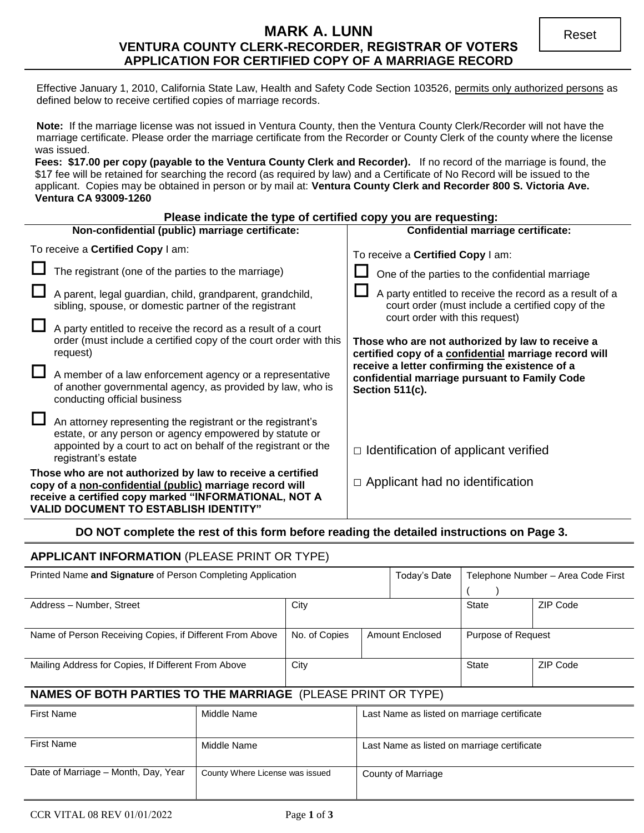# **MARK A. LUNN VENTURA COUNTY CLERK-RECORDER, REGISTRAR OF VOTERS APPLICATION FOR CERTIFIED COPY OF A MARRIAGE RECORD**

Effective January 1, 2010, California State Law, Health and Safety Code Section 103526, permits only authorized persons as defined below to receive certified copies of marriage records.

**Note:** If the marriage license was not issued in Ventura County, then the Ventura County Clerk/Recorder will not have the marriage certificate. Please order the marriage certificate from the Recorder or County Clerk of the county where the license was issued.

Fees: \$17.00 per copy (payable to the Ventura County Clerk and Recorder). If no record of the marriage is found, the \$17 fee will be retained for searching the record (as required by law) and a Certificate of No Record will be issued to the applicant. Copies may be obtained in person or by mail at: **Ventura County Clerk and Recorder 800 S. Victoria Ave. Ventura CA 93009-1260** 

### **Please indicate the type of certified copy you are requesting:**

| Non-confidential (public) marriage certificate:                                                                                                                                                                                 |                                                                                                                                                                                                                 | <b>Confidential marriage certificate:</b>                                                                                                      |  |  |
|---------------------------------------------------------------------------------------------------------------------------------------------------------------------------------------------------------------------------------|-----------------------------------------------------------------------------------------------------------------------------------------------------------------------------------------------------------------|------------------------------------------------------------------------------------------------------------------------------------------------|--|--|
| To receive a Certified Copy I am:                                                                                                                                                                                               |                                                                                                                                                                                                                 | To receive a Certified Copy I am:                                                                                                              |  |  |
|                                                                                                                                                                                                                                 | The registrant (one of the parties to the marriage)                                                                                                                                                             | One of the parties to the confidential marriage                                                                                                |  |  |
|                                                                                                                                                                                                                                 | A parent, legal guardian, child, grandparent, grandchild,<br>sibling, spouse, or domestic partner of the registrant                                                                                             | A party entitled to receive the record as a result of a<br>court order (must include a certified copy of the<br>court order with this request) |  |  |
|                                                                                                                                                                                                                                 | A party entitled to receive the record as a result of a court<br>order (must include a certified copy of the court order with this<br>request)                                                                  | Those who are not authorized by law to receive a<br>certified copy of a confidential marriage record will                                      |  |  |
|                                                                                                                                                                                                                                 | A member of a law enforcement agency or a representative<br>of another governmental agency, as provided by law, who is<br>conducting official business                                                          | receive a letter confirming the existence of a<br>confidential marriage pursuant to Family Code<br><b>Section 511(c).</b>                      |  |  |
|                                                                                                                                                                                                                                 | An attorney representing the registrant or the registrant's<br>estate, or any person or agency empowered by statute or<br>appointed by a court to act on behalf of the registrant or the<br>registrant's estate | $\Box$ Identification of applicant verified                                                                                                    |  |  |
| Those who are not authorized by law to receive a certified<br>copy of a non-confidential (public) marriage record will<br>receive a certified copy marked "INFORMATIONAL, NOT A<br><b>VALID DOCUMENT TO ESTABLISH IDENTITY"</b> |                                                                                                                                                                                                                 | $\Box$ Applicant had no identification                                                                                                         |  |  |

# **DO NOT complete the rest of this form before reading the detailed instructions on Page 3.**

# **APPLICANT INFORMATION** (PLEASE PRINT OR TYPE)

| Printed Name and Signature of Person Completing Application |                                  |  | Today's Date       | Telephone Number - Area Code First |          |
|-------------------------------------------------------------|----------------------------------|--|--------------------|------------------------------------|----------|
|                                                             |                                  |  |                    |                                    |          |
| Address - Number, Street                                    | City                             |  | <b>State</b>       | ZIP Code                           |          |
|                                                             |                                  |  |                    |                                    |          |
| Name of Person Receiving Copies, if Different From Above    | No. of Copies<br>Amount Enclosed |  | Purpose of Request |                                    |          |
|                                                             |                                  |  |                    |                                    |          |
| Mailing Address for Copies, If Different From Above         | City                             |  |                    | <b>State</b>                       | ZIP Code |
|                                                             |                                  |  |                    |                                    |          |

# **NAMES OF BOTH PARTIES TO THE MARRIAGE** (PLEASE PRINT OR TYPE)

| <b>First Name</b>                   | Middle Name                     | Last Name as listed on marriage certificate |
|-------------------------------------|---------------------------------|---------------------------------------------|
|                                     |                                 |                                             |
|                                     |                                 |                                             |
| <b>First Name</b>                   | Middle Name                     | Last Name as listed on marriage certificate |
|                                     |                                 |                                             |
| Date of Marriage - Month, Day, Year | County Where License was issued | County of Marriage                          |
|                                     |                                 |                                             |
|                                     |                                 |                                             |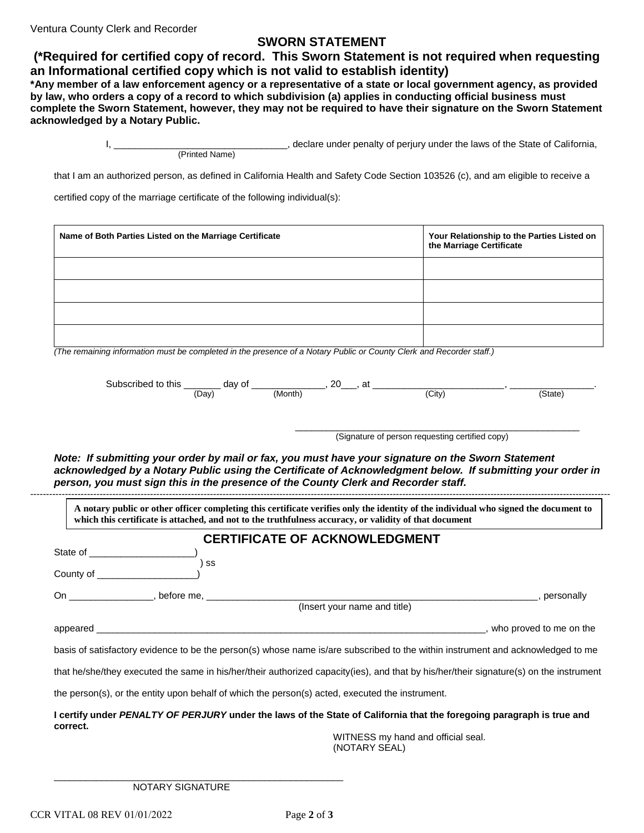Ventura County Clerk and Recorder

### **SWORN STATEMENT**

 **(\*Required for certified copy of record. This Sworn Statement is not required when requesting an Informational certified copy which is not valid to establish identity)** 

**\*Any member of a law enforcement agency or a representative of a state or local government agency, as provided by law, who orders a copy of a record to which subdivision (a) applies in conducting official business must complete the Sworn Statement, however, they may not be required to have their signature on the Sworn Statement acknowledged by a Notary Public.**

> I, \_\_\_\_\_\_\_\_\_\_\_\_\_\_\_\_\_\_\_\_\_\_\_\_\_\_\_\_\_\_\_\_\_, declare under penalty of perjury under the laws of the State of California, (Printed Name)

that I am an authorized person, as defined in California Health and Safety Code Section 103526 (c), and am eligible to receive a

certified copy of the marriage certificate of the following individual(s):

| Name of Both Parties Listed on the Marriage Certificate                                                                                                                | Your Relationship to the Parties Listed on<br>the Marriage Certificate |
|------------------------------------------------------------------------------------------------------------------------------------------------------------------------|------------------------------------------------------------------------|
|                                                                                                                                                                        |                                                                        |
|                                                                                                                                                                        |                                                                        |
|                                                                                                                                                                        |                                                                        |
| $\overline{a}$ . The set of the set of the set of $\overline{a}$ , $\overline{a}$ , $\overline{a}$ , $\overline{a}$ , $\overline{a}$ , $\overline{a}$ , $\overline{a}$ |                                                                        |

*(The remaining information must be completed in the presence of a Notary Public or County Clerk and Recorder staff.)* 

| Subs<br>)SCribec<br>. .<br>this<br>н<br>the contract of the contract of<br>$-$ | Οl<br>dav | חר<br><u>Lv</u>   | $\sim$<br>a. |                 |
|--------------------------------------------------------------------------------|-----------|-------------------|--------------|-----------------|
|                                                                                | (Dav      | $\sim$<br>(Month) | City)        | $\sim$<br>State |

\_\_\_\_\_\_\_\_\_\_\_\_\_\_\_\_\_\_\_\_\_\_\_\_\_\_\_\_\_\_\_\_\_\_\_\_\_\_\_\_\_\_\_\_\_\_\_\_\_\_\_\_\_\_ (Signature of person requesting certified copy)

*Note: If submitting your order by mail or fax, you must have your signature on the Sworn Statement acknowledged by a Notary Public using the Certificate of Acknowledgment below. If submitting your order in person, you must sign this in the presence of the County Clerk and Recorder staff.* 

**A notary public or other officer completing this certificate verifies only the identity of the individual who signed the document to which this certificate is attached, and not to the truthfulness accuracy, or validity of that document**

# **CERTIFICATE OF ACKNOWLEDGMENT**

----------------------------------------------------------------------------------------------------------------------------------------------------------------------------------------

| State of the contract of the state of the state of the state of the state of the state of the state of the state of the state of the state of the state of the state of the state of the state of the state of the state of th |                                                                                                                                 |                         |  |
|--------------------------------------------------------------------------------------------------------------------------------------------------------------------------------------------------------------------------------|---------------------------------------------------------------------------------------------------------------------------------|-------------------------|--|
| County of                                                                                                                                                                                                                      | SS                                                                                                                              |                         |  |
| On example, before me,                                                                                                                                                                                                         |                                                                                                                                 | personally              |  |
|                                                                                                                                                                                                                                | (Insert your name and title)                                                                                                    |                         |  |
| appeared and the contract of the contract of the contract of the contract of the contract of the contract of the contract of the contract of the contract of the contract of the contract of the contract of the contract of t |                                                                                                                                 | who proved to me on the |  |
|                                                                                                                                                                                                                                | basis of satisfactory evidence to be the person(s) whose name is/are subscribed to the within instrument and acknowledged to me |                         |  |
| that he/she/they executed the same in his/her/their authorized capacity(ies), and that by his/her/their signature(s) on the instrument                                                                                         |                                                                                                                                 |                         |  |
|                                                                                                                                                                                                                                | the person(s), or the entity upon behalf of which the person(s) acted, executed the instrument.                                 |                         |  |
| I certify under PENALTY OF PERJURY under the laws of the State of California that the foregoing paragraph is true and<br>correct.                                                                                              |                                                                                                                                 |                         |  |

WITNESS my hand and official seal. (NOTARY SEAL)

NOTARY SIGNATURE

\_\_\_\_\_\_\_\_\_\_\_\_\_\_\_\_\_\_\_\_\_\_\_\_\_\_\_\_\_\_\_\_\_\_\_\_\_\_\_\_\_\_\_\_\_\_\_\_\_\_\_\_\_\_\_